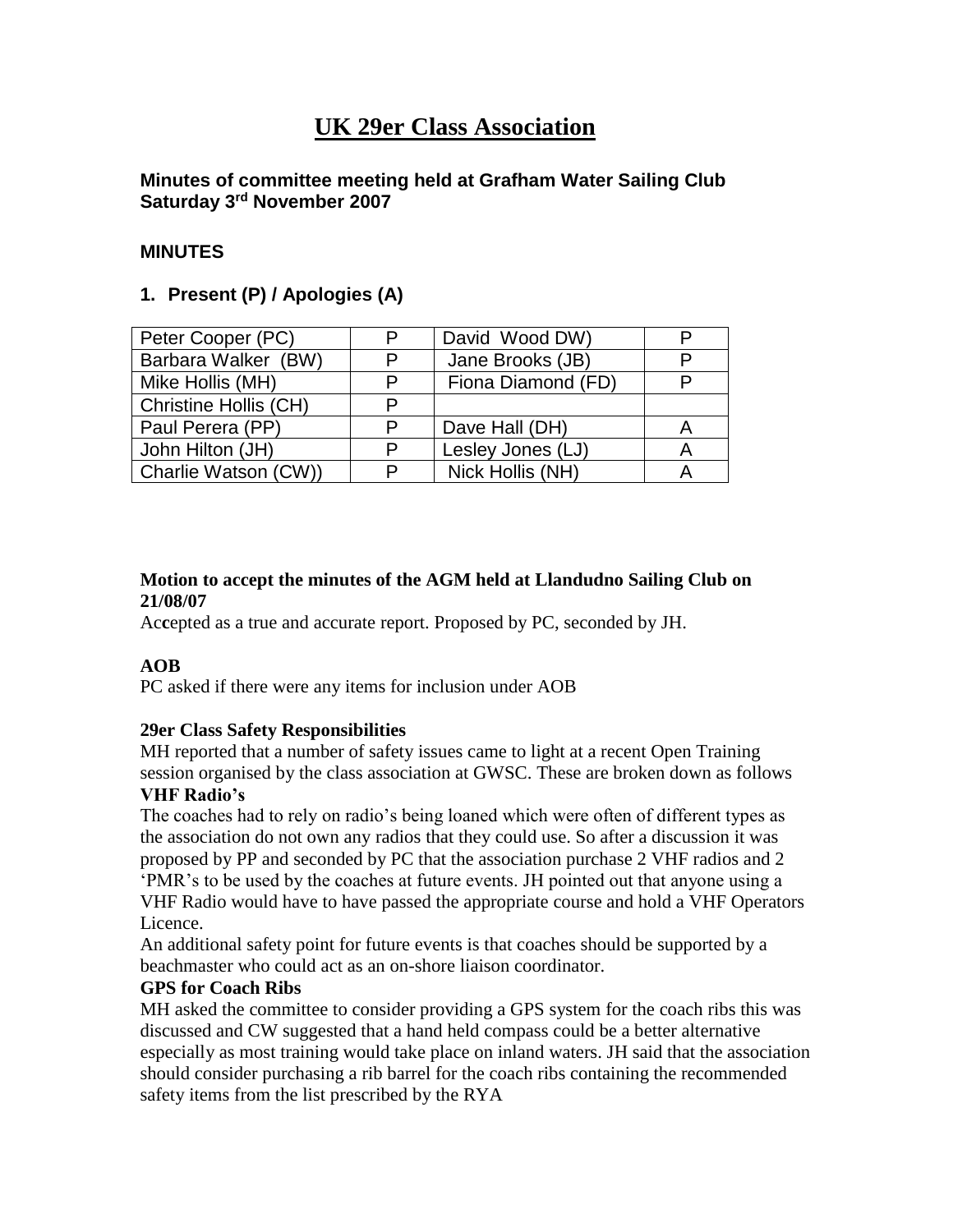# **UK 29er Class Association**

# **Minutes of committee meeting held at Grafham Water Sailing Club Saturday 3rd November 2007**

# **MINUTES**

# **1. Present (P) / Apologies (A)**

| Peter Cooper (PC)     | P | David Wood DW)     |  |
|-----------------------|---|--------------------|--|
| Barbara Walker (BW)   | P | Jane Brooks (JB)   |  |
| Mike Hollis (MH)      | P | Fiona Diamond (FD) |  |
| Christine Hollis (CH) | P |                    |  |
| Paul Perera (PP)      | P | Dave Hall (DH)     |  |
| John Hilton (JH)      | P | Lesley Jones (LJ)  |  |
| Charlie Watson (CW))  | P | Nick Hollis (NH)   |  |

# **Motion to accept the minutes of the AGM held at Llandudno Sailing Club on 21/08/07**

Ac**c**epted as a true and accurate report. Proposed by PC, seconded by JH.

# **AOB**

PC asked if there were any items for inclusion under AOB

# **29er Class Safety Responsibilities**

MH reported that a number of safety issues came to light at a recent Open Training session organised by the class association at GWSC. These are broken down as follows **VHF Radio's** 

The coaches had to rely on radio's being loaned which were often of different types as the association do not own any radios that they could use. So after a discussion it was proposed by PP and seconded by PC that the association purchase 2 VHF radios and 2 'PMR's to be used by the coaches at future events. JH pointed out that anyone using a VHF Radio would have to have passed the appropriate course and hold a VHF Operators Licence.

An additional safety point for future events is that coaches should be supported by a beachmaster who could act as an on-shore liaison coordinator.

# **GPS for Coach Ribs**

MH asked the committee to consider providing a GPS system for the coach ribs this was discussed and CW suggested that a hand held compass could be a better alternative especially as most training would take place on inland waters. JH said that the association should consider purchasing a rib barrel for the coach ribs containing the recommended safety items from the list prescribed by the RYA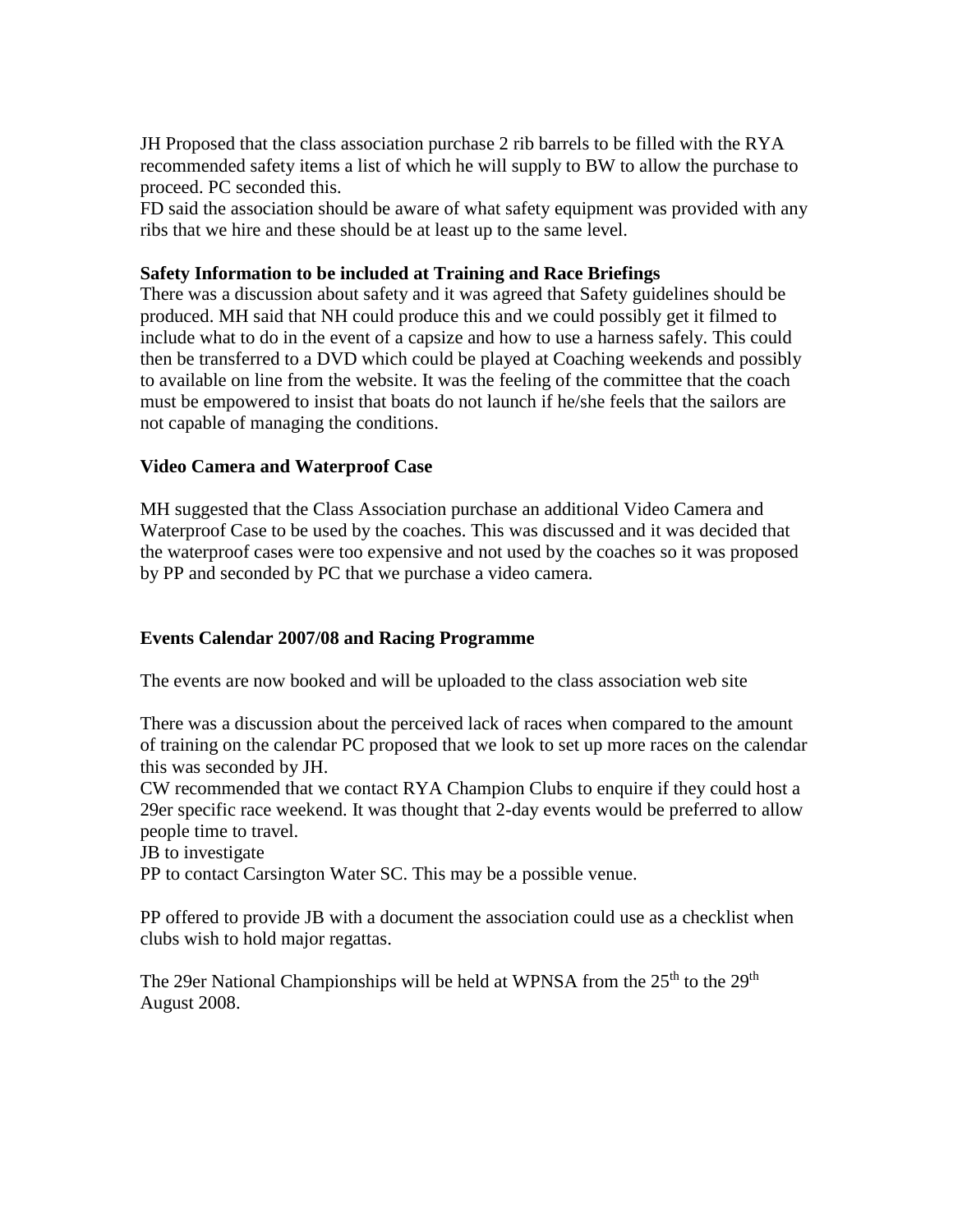JH Proposed that the class association purchase 2 rib barrels to be filled with the RYA recommended safety items a list of which he will supply to BW to allow the purchase to proceed. PC seconded this.

FD said the association should be aware of what safety equipment was provided with any ribs that we hire and these should be at least up to the same level.

#### **Safety Information to be included at Training and Race Briefings**

There was a discussion about safety and it was agreed that Safety guidelines should be produced. MH said that NH could produce this and we could possibly get it filmed to include what to do in the event of a capsize and how to use a harness safely. This could then be transferred to a DVD which could be played at Coaching weekends and possibly to available on line from the website. It was the feeling of the committee that the coach must be empowered to insist that boats do not launch if he/she feels that the sailors are not capable of managing the conditions.

#### **Video Camera and Waterproof Case**

MH suggested that the Class Association purchase an additional Video Camera and Waterproof Case to be used by the coaches. This was discussed and it was decided that the waterproof cases were too expensive and not used by the coaches so it was proposed by PP and seconded by PC that we purchase a video camera.

# **Events Calendar 2007/08 and Racing Programme**

The events are now booked and will be uploaded to the class association web site

There was a discussion about the perceived lack of races when compared to the amount of training on the calendar PC proposed that we look to set up more races on the calendar this was seconded by JH.

CW recommended that we contact RYA Champion Clubs to enquire if they could host a 29er specific race weekend. It was thought that 2-day events would be preferred to allow people time to travel.

JB to investigate

PP to contact Carsington Water SC. This may be a possible venue.

PP offered to provide JB with a document the association could use as a checklist when clubs wish to hold major regattas.

The 29er National Championships will be held at WPNSA from the  $25<sup>th</sup>$  to the  $29<sup>th</sup>$ August 2008.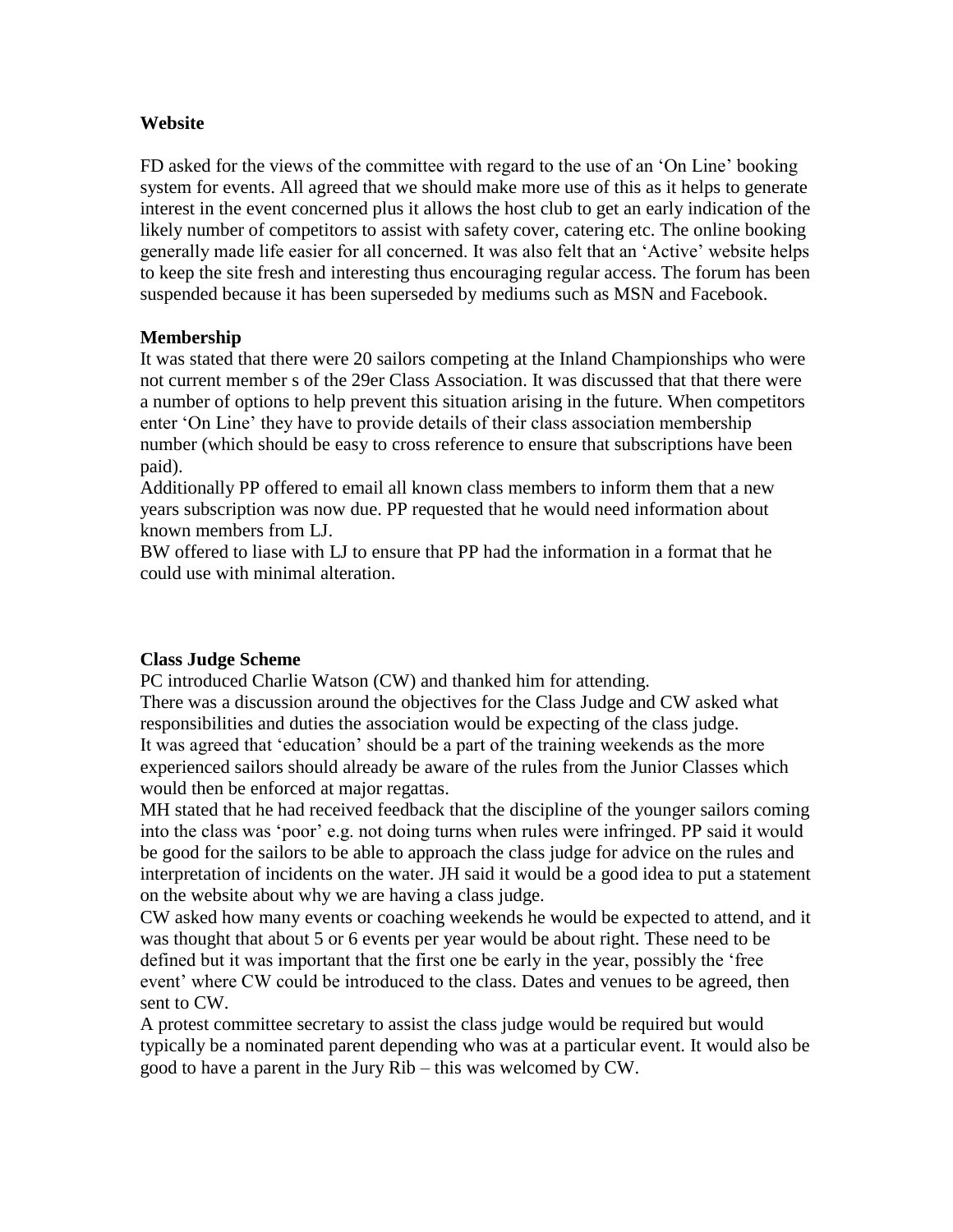#### **Website**

FD asked for the views of the committee with regard to the use of an 'On Line' booking system for events. All agreed that we should make more use of this as it helps to generate interest in the event concerned plus it allows the host club to get an early indication of the likely number of competitors to assist with safety cover, catering etc. The online booking generally made life easier for all concerned. It was also felt that an 'Active' website helps to keep the site fresh and interesting thus encouraging regular access. The forum has been suspended because it has been superseded by mediums such as MSN and Facebook.

#### **Membership**

It was stated that there were 20 sailors competing at the Inland Championships who were not current member s of the 29er Class Association. It was discussed that that there were a number of options to help prevent this situation arising in the future. When competitors enter 'On Line' they have to provide details of their class association membership number (which should be easy to cross reference to ensure that subscriptions have been paid).

Additionally PP offered to email all known class members to inform them that a new years subscription was now due. PP requested that he would need information about known members from LJ.

BW offered to liase with LJ to ensure that PP had the information in a format that he could use with minimal alteration.

#### **Class Judge Scheme**

PC introduced Charlie Watson (CW) and thanked him for attending.

There was a discussion around the objectives for the Class Judge and CW asked what responsibilities and duties the association would be expecting of the class judge. It was agreed that 'education' should be a part of the training weekends as the more experienced sailors should already be aware of the rules from the Junior Classes which would then be enforced at major regattas.

MH stated that he had received feedback that the discipline of the younger sailors coming into the class was 'poor' e.g. not doing turns when rules were infringed. PP said it would be good for the sailors to be able to approach the class judge for advice on the rules and interpretation of incidents on the water. JH said it would be a good idea to put a statement on the website about why we are having a class judge.

CW asked how many events or coaching weekends he would be expected to attend, and it was thought that about 5 or 6 events per year would be about right. These need to be defined but it was important that the first one be early in the year, possibly the 'free event' where CW could be introduced to the class. Dates and venues to be agreed, then sent to CW.

A protest committee secretary to assist the class judge would be required but would typically be a nominated parent depending who was at a particular event. It would also be good to have a parent in the Jury Rib – this was welcomed by CW.